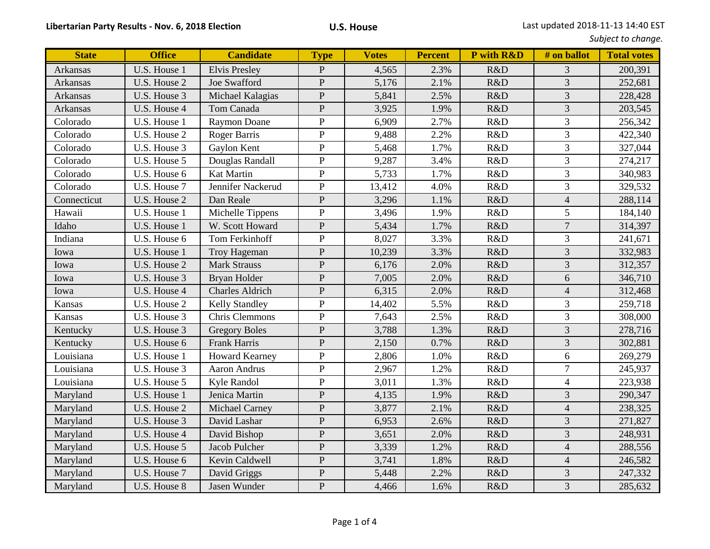| Subject to change. |  |
|--------------------|--|
|--------------------|--|

| <b>State</b>    | <b>Office</b> | <b>Candidate</b>       | <b>Type</b>    | <b>Votes</b> | <b>Percent</b> | P with R&D | # on ballot    | <b>Total votes</b> |
|-----------------|---------------|------------------------|----------------|--------------|----------------|------------|----------------|--------------------|
| Arkansas        | U.S. House 1  | <b>Elvis Presley</b>   | $\mathbf{P}$   | 4,565        | 2.3%           | R&D        | 3              | 200,391            |
| <b>Arkansas</b> | U.S. House 2  | Joe Swafford           | $\mathbf{P}$   | 5,176        | 2.1%           | R&D        | 3              | 252,681            |
| <b>Arkansas</b> | U.S. House 3  | Michael Kalagias       | ${\bf P}$      | 5,841        | 2.5%           | R&D        | 3              | 228,428            |
| <b>Arkansas</b> | U.S. House 4  | Tom Canada             | ${\bf P}$      | 3,925        | 1.9%           | R&D        | $\overline{3}$ | 203,545            |
| Colorado        | U.S. House 1  | <b>Raymon Doane</b>    | ${\bf P}$      | 6,909        | 2.7%           | R&D        | $\overline{3}$ | 256,342            |
| Colorado        | U.S. House 2  | Roger Barris           | $\mathbf{P}$   | 9,488        | 2.2%           | R&D        | 3              | 422,340            |
| Colorado        | U.S. House 3  | Gaylon Kent            | ${\bf P}$      | 5,468        | 1.7%           | R&D        | 3              | 327,044            |
| Colorado        | U.S. House 5  | Douglas Randall        | ${\bf P}$      | 9,287        | 3.4%           | R&D        | 3              | 274,217            |
| Colorado        | U.S. House 6  | Kat Martin             | $\mathbf{P}$   | 5,733        | 1.7%           | R&D        | $\overline{3}$ | 340,983            |
| Colorado        | U.S. House 7  | Jennifer Nackerud      | ${\bf P}$      | 13,412       | 4.0%           | R&D        | $\overline{3}$ | 329,532            |
| Connecticut     | U.S. House 2  | Dan Reale              | $\mathbf{P}$   | 3,296        | 1.1%           | R&D        | $\overline{4}$ | 288,114            |
| Hawaii          | U.S. House 1  | Michelle Tippens       | ${\bf P}$      | 3,496        | 1.9%           | R&D        | 5              | 184,140            |
| Idaho           | U.S. House 1  | W. Scott Howard        | ${\bf P}$      | 5,434        | 1.7%           | R&D        | $\overline{7}$ | 314,397            |
| Indiana         | U.S. House 6  | Tom Ferkinhoff         | $\mathbf{P}$   | 8,027        | 3.3%           | R&D        | $\overline{3}$ | 241,671            |
| Iowa            | U.S. House 1  | Troy Hageman           | ${\bf P}$      | 10,239       | 3.3%           | R&D        | $\overline{3}$ | 332,983            |
| Iowa            | U.S. House 2  | <b>Mark Strauss</b>    | $\mathbf{P}$   | 6,176        | 2.0%           | R&D        | 3              | 312,357            |
| Iowa            | U.S. House 3  | Bryan Holder           | ${\bf P}$      | 7,005        | 2.0%           | R&D        | 6              | 346,710            |
| Iowa            | U.S. House 4  | <b>Charles Aldrich</b> | ${\bf P}$      | 6,315        | 2.0%           | R&D        | $\overline{4}$ | 312,468            |
| Kansas          | U.S. House 2  | Kelly Standley         | ${\bf P}$      | 14,402       | 5.5%           | R&D        | 3              | 259,718            |
| Kansas          | U.S. House 3  | Chris Clemmons         | ${\bf P}$      | 7,643        | 2.5%           | R&D        | 3              | 308,000            |
| Kentucky        | U.S. House 3  | <b>Gregory Boles</b>   | $\mathbf{P}$   | 3,788        | 1.3%           | R&D        | $\overline{3}$ | 278,716            |
| Kentucky        | U.S. House 6  | Frank Harris           | ${\bf P}$      | 2,150        | 0.7%           | R&D        | 3              | 302,881            |
| Louisiana       | U.S. House 1  | <b>Howard Kearney</b>  | $\mathbf{P}$   | 2,806        | 1.0%           | R&D        | 6              | 269,279            |
| Louisiana       | U.S. House 3  | Aaron Andrus           | ${\bf P}$      | 2,967        | 1.2%           | R&D        | $\overline{7}$ | 245,937            |
| Louisiana       | U.S. House 5  | Kyle Randol            | ${\bf P}$      | 3,011        | 1.3%           | R&D        | $\overline{4}$ | 223,938            |
| Maryland        | U.S. House 1  | Jenica Martin          | $\mathbf{P}$   | 4,135        | 1.9%           | R&D        | $\overline{3}$ | 290,347            |
| Maryland        | U.S. House 2  | Michael Carney         | ${\bf P}$      | 3,877        | 2.1%           | R&D        | $\overline{4}$ | 238,325            |
| Maryland        | U.S. House 3  | David Lashar           | $\overline{P}$ | 6,953        | 2.6%           | R&D        | $\overline{3}$ | 271,827            |
| Maryland        | U.S. House 4  | David Bishop           | $\mathbf{P}$   | 3,651        | 2.0%           | R&D        | 3              | 248,931            |
| Maryland        | U.S. House 5  | Jacob Pulcher          | ${\bf P}$      | 3,339        | 1.2%           | R&D        | $\overline{4}$ | 288,556            |
| Maryland        | U.S. House 6  | Kevin Caldwell         | $\mathbf{P}$   | 3,741        | 1.8%           | R&D        | $\overline{4}$ | 246,582            |
| Maryland        | U.S. House 7  | David Griggs           | ${\bf P}$      | 5,448        | 2.2%           | R&D        | 3              | 247,332            |
| Maryland        | U.S. House 8  | Jasen Wunder           | $\overline{P}$ | 4,466        | 1.6%           | R&D        | $\overline{3}$ | 285,632            |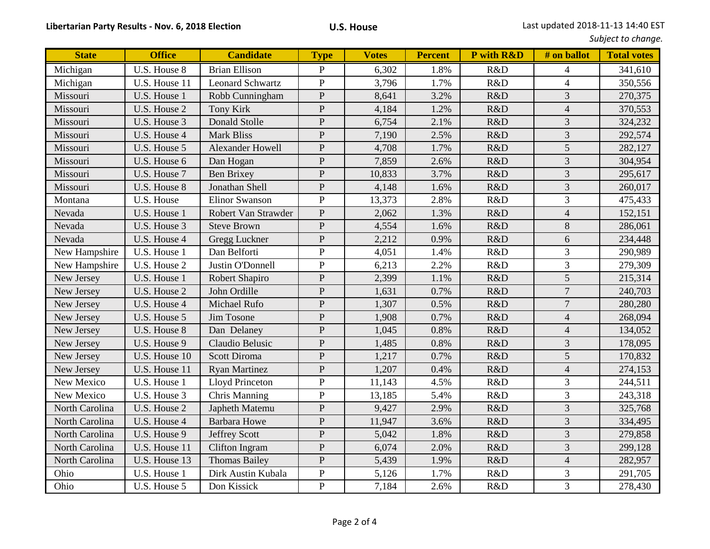|              |               |                  |             |              |                |                   |             | Subject to change. |
|--------------|---------------|------------------|-------------|--------------|----------------|-------------------|-------------|--------------------|
| <b>State</b> | <b>Office</b> | <b>Candidate</b> | <b>Type</b> | <b>Votes</b> | <b>Percent</b> | <b>P</b> with R&D | # on ballot | <b>Total votes</b> |
| <u>igan</u>  | U.S. House 8  | Brian Ellison    |             | 6,302        | .8%            | R&D               |             | 341,610            |
| igan         | U.S. House 11 | Leonard Schwartz |             | 3,796        | 7%             | R&D               |             | 350,556            |
|              |               |                  |             |              |                |                   |             |                    |

| Michigan       | U.S. House 8  | <b>Brian Ellison</b>    | $\mathbf{P}$   | 6,302  | 1.8% | R&D | $\overline{4}$ | 341,610 |
|----------------|---------------|-------------------------|----------------|--------|------|-----|----------------|---------|
| Michigan       | U.S. House 11 | <b>Leonard Schwartz</b> | ${\bf P}$      | 3,796  | 1.7% | R&D | $\overline{4}$ | 350,556 |
| Missouri       | U.S. House 1  | Robb Cunningham         | $\mathbf{P}$   | 8,641  | 3.2% | R&D | 3              | 270,375 |
| Missouri       | U.S. House 2  | <b>Tony Kirk</b>        | $\mathbf{P}$   | 4,184  | 1.2% | R&D | $\overline{4}$ | 370,553 |
| Missouri       | U.S. House 3  | Donald Stolle           | ${\bf P}$      | 6,754  | 2.1% | R&D | 3              | 324,232 |
| Missouri       | U.S. House 4  | <b>Mark Bliss</b>       | ${\bf P}$      | 7,190  | 2.5% | R&D | 3              | 292,574 |
| Missouri       | U.S. House 5  | <b>Alexander Howell</b> | ${\bf P}$      | 4,708  | 1.7% | R&D | 5              | 282,127 |
| Missouri       | U.S. House 6  | Dan Hogan               | $\overline{P}$ | 7,859  | 2.6% | R&D | $\overline{3}$ | 304,954 |
| Missouri       | U.S. House 7  | <b>Ben Brixey</b>       | $\overline{P}$ | 10,833 | 3.7% | R&D | 3              | 295,617 |
| Missouri       | U.S. House 8  | Jonathan Shell          | ${\bf P}$      | 4,148  | 1.6% | R&D | 3              | 260,017 |
| Montana        | U.S. House    | <b>Elinor Swanson</b>   | $\mathbf{P}$   | 13,373 | 2.8% | R&D | 3              | 475,433 |
| Nevada         | U.S. House 1  | Robert Van Strawder     | ${\bf P}$      | 2,062  | 1.3% | R&D | $\overline{4}$ | 152,151 |
| Nevada         | U.S. House 3  | <b>Steve Brown</b>      | $\mathbf P$    | 4,554  | 1.6% | R&D | 8              | 286,061 |
| Nevada         | U.S. House 4  | Gregg Luckner           | $\mathbf{P}$   | 2,212  | 0.9% | R&D | 6              | 234,448 |
| New Hampshire  | U.S. House 1  | Dan Belforti            | ${\bf P}$      | 4,051  | 1.4% | R&D | 3              | 290,989 |
| New Hampshire  | U.S. House 2  | Justin O'Donnell        | ${\bf P}$      | 6,213  | 2.2% | R&D | 3              | 279,309 |
| New Jersey     | U.S. House 1  | Robert Shapiro          | ${\bf P}$      | 2,399  | 1.1% | R&D | 5              | 215,314 |
| New Jersey     | U.S. House 2  | John Ordille            | ${\bf P}$      | 1,631  | 0.7% | R&D | $\overline{7}$ | 240,703 |
| New Jersey     | U.S. House 4  | Michael Rufo            | $\mathbf{P}$   | 1,307  | 0.5% | R&D | $\overline{7}$ | 280,280 |
| New Jersey     | U.S. House 5  | Jim Tosone              | $\overline{P}$ | 1,908  | 0.7% | R&D | $\overline{4}$ | 268,094 |
| New Jersey     | U.S. House 8  | Dan Delaney             | ${\bf P}$      | 1,045  | 0.8% | R&D | $\overline{4}$ | 134,052 |
| New Jersey     | U.S. House 9  | Claudio Belusic         | $\overline{P}$ | 1,485  | 0.8% | R&D | 3              | 178,095 |
| New Jersey     | U.S. House 10 | <b>Scott Diroma</b>     | $\overline{P}$ | 1,217  | 0.7% | R&D | 5              | 170,832 |
| New Jersey     | U.S. House 11 | <b>Ryan Martinez</b>    | ${\bf P}$      | 1,207  | 0.4% | R&D | $\overline{4}$ | 274,153 |
| New Mexico     | U.S. House 1  | <b>Lloyd Princeton</b>  | $\mathbf{P}$   | 11,143 | 4.5% | R&D | 3              | 244,511 |
| New Mexico     | U.S. House 3  | Chris Manning           | $\mathbf{P}$   | 13,185 | 5.4% | R&D | 3              | 243,318 |
| North Carolina | U.S. House 2  | Japheth Matemu          | $\mathbf{P}$   | 9,427  | 2.9% | R&D | 3              | 325,768 |
| North Carolina | U.S. House 4  | <b>Barbara Howe</b>     | ${\bf P}$      | 11,947 | 3.6% | R&D | 3              | 334,495 |
| North Carolina | U.S. House 9  | <b>Jeffrey Scott</b>    | ${\bf P}$      | 5,042  | 1.8% | R&D | 3              | 279,858 |
| North Carolina | U.S. House 11 | Clifton Ingram          | ${\bf P}$      | 6,074  | 2.0% | R&D | 3              | 299,128 |
| North Carolina | U.S. House 13 | <b>Thomas Bailey</b>    | ${\bf P}$      | 5,439  | 1.9% | R&D | $\overline{4}$ | 282,957 |
| Ohio           | U.S. House 1  | Dirk Austin Kubala      | $\mathbf{P}$   | 5,126  | 1.7% | R&D | 3              | 291,705 |
| Ohio           | U.S. House 5  | Don Kissick             | $\overline{P}$ | 7,184  | 2.6% | R&D | $\overline{3}$ | 278,430 |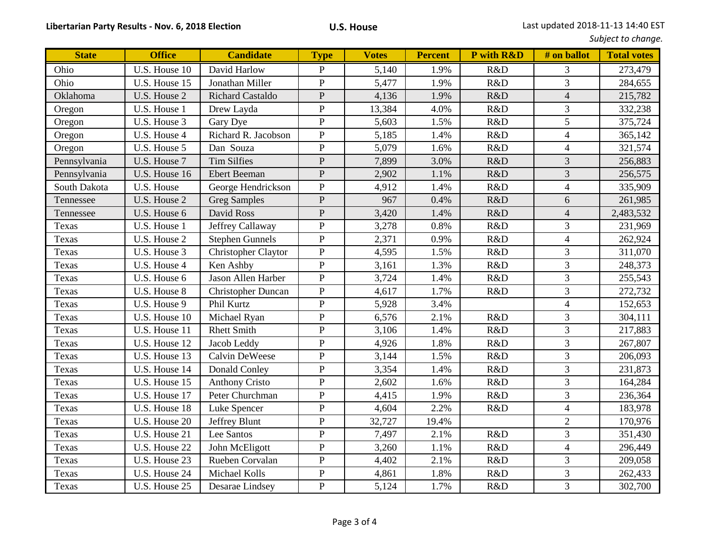|  |  | Subject to change. |
|--|--|--------------------|
|--|--|--------------------|

| <b>State</b> | <b>Office</b>               | <b>Candidate</b>          | <b>Type</b>    | <b>Votes</b> | <b>Percent</b> | P with R&D | # on ballot    | <b>Total votes</b> |
|--------------|-----------------------------|---------------------------|----------------|--------------|----------------|------------|----------------|--------------------|
| Ohio         | U.S. House 10               | David Harlow              | $\mathbf P$    | 5,140        | 1.9%           | R&D        | $\mathfrak{Z}$ | 273,479            |
| Ohio         | U.S. House 15               | Jonathan Miller           | $\mathbf P$    | 5,477        | 1.9%           | R&D        | 3              | 284,655            |
| Oklahoma     | U.S. House 2                | <b>Richard Castaldo</b>   | $\mathbf P$    | 4,136        | 1.9%           | R&D        | $\overline{4}$ | 215,782            |
| Oregon       | U.S. House 1                | Drew Layda                | ${\bf P}$      | 13,384       | 4.0%           | R&D        | 3              | 332,238            |
| Oregon       | U.S. House 3                | Gary Dye                  | $\overline{P}$ | 5,603        | 1.5%           | R&D        | 5              | 375,724            |
| Oregon       | U.S. House 4                | Richard R. Jacobson       | $\overline{P}$ | 5,185        | 1.4%           | R&D        | $\overline{4}$ | 365,142            |
| Oregon       | U.S. House 5                | Dan Souza                 | $\overline{P}$ | 5,079        | 1.6%           | R&D        | $\overline{4}$ | 321,574            |
| Pennsylvania | U.S. House 7                | <b>Tim Silfies</b>        | ${\bf P}$      | 7,899        | 3.0%           | R&D        | 3              | 256,883            |
| Pennsylvania | U.S. House 16               | <b>Ebert Beeman</b>       | $\mathbf P$    | 2,902        | 1.1%           | R&D        | 3              | 256,575            |
| South Dakota | U.S. House                  | George Hendrickson        | $\mathbf{P}$   | 4,912        | 1.4%           | R&D        | $\overline{4}$ | 335,909            |
| Tennessee    | U.S. House 2                | <b>Greg Samples</b>       | $\overline{P}$ | 967          | 0.4%           | R&D        | 6              | 261,985            |
| Tennessee    | U.S. House 6                | David Ross                | $\overline{P}$ | 3,420        | 1.4%           | R&D        | $\overline{4}$ | 2,483,532          |
| Texas        | U.S. House 1                | Jeffrey Callaway          | $\overline{P}$ | 3,278        | 0.8%           | R&D        | 3              | 231,969            |
| Texas        | U.S. House 2                | <b>Stephen Gunnels</b>    | $\overline{P}$ | 2,371        | 0.9%           | R&D        | $\overline{4}$ | 262,924            |
| Texas        | U.S. House 3                | Christopher Claytor       | ${\bf P}$      | 4,595        | 1.5%           | R&D        | 3              | 311,070            |
| Texas        | U.S. House 4                | Ken Ashby                 | ${\bf P}$      | 3,161        | 1.3%           | R&D        | 3              | 248,373            |
| Texas        | U.S. House 6                | Jason Allen Harber        | ${\bf P}$      | 3,724        | 1.4%           | R&D        | 3              | 255,543            |
| Texas        | U.S. House 8                | <b>Christopher Duncan</b> | $\overline{P}$ | 4,617        | 1.7%           | R&D        | 3              | 272,732            |
| Texas        | U.S. House 9                | Phil Kurtz                | $\overline{P}$ | 5,928        | 3.4%           |            | $\overline{4}$ | 152,653            |
| Texas        | U.S. House 10               | Michael Ryan              | $\overline{P}$ | 6,576        | 2.1%           | R&D        | 3              | 304,111            |
| Texas        | U.S. House 11               | <b>Rhett Smith</b>        | $\overline{P}$ | 3,106        | 1.4%           | R&D        | 3              | 217,883            |
| Texas        | U.S. House 12               | Jacob Leddy               | $\mathbf P$    | 4,926        | 1.8%           | R&D        | 3              | 267,807            |
| Texas        | U.S. House 13               | Calvin DeWeese            | $\overline{P}$ | 3,144        | 1.5%           | R&D        | 3              | 206,093            |
| Texas        | U.S. House 14               | Donald Conley             | $\mathbf P$    | 3,354        | 1.4%           | R&D        | $\overline{3}$ | 231,873            |
| Texas        | U.S. House 15               | <b>Anthony Cristo</b>     | $\overline{P}$ | 2,602        | 1.6%           | R&D        | 3              | 164,284            |
| Texas        | U.S. House 17               | Peter Churchman           | $\mathbf P$    | 4,415        | 1.9%           | R&D        | $\overline{3}$ | 236,364            |
| Texas        | U.S. House 18               | Luke Spencer              | ${\bf P}$      | 4,604        | 2.2%           | R&D        | $\overline{4}$ | 183,978            |
| Texas        | U.S. House 20               | Jeffrey Blunt             | ${\bf P}$      | 32,727       | 19.4%          |            | $\overline{2}$ | 170,976            |
| Texas        | U.S. House 21               | Lee Santos                | $\mathbf P$    | 7,497        | 2.1%           | R&D        | 3              | 351,430            |
| Texas        | U.S. House 22               | John McEligott            | $\overline{P}$ | 3,260        | 1.1%           | R&D        | $\overline{4}$ | 296,449            |
| Texas        | U.S. House 23               | Rueben Corvalan           | $\overline{P}$ | 4,402        | 2.1%           | R&D        | 3              | 209,058            |
| Texas        | $\overline{U}$ .S. House 24 | Michael Kolls             | $\mathbf P$    | 4,861        | 1.8%           | R&D        | 3              | 262,433            |
| Texas        | U.S. House 25               | Desarae Lindsey           | $\mathbf P$    | 5,124        | 1.7%           | R&D        | $\overline{3}$ | 302,700            |